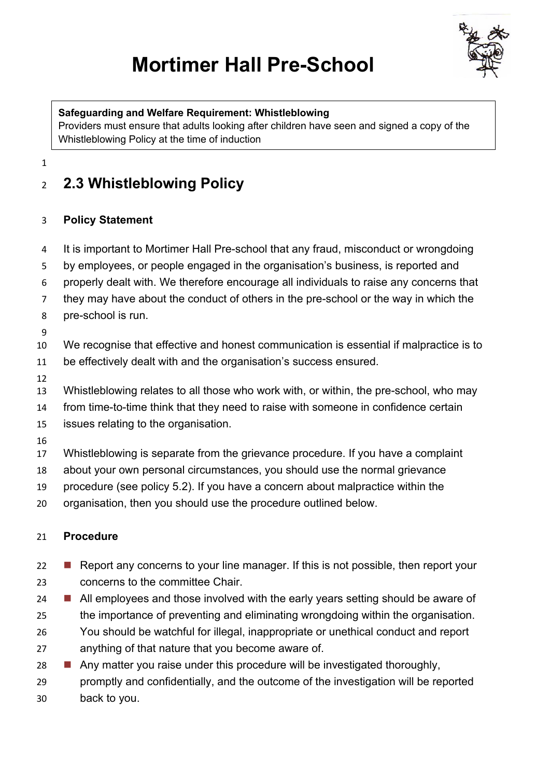# **Mortimer Hall Pre-School**



#### **Safeguarding and Welfare Requirement: Whistleblowing**

Providers must ensure that adults looking after children have seen and signed a copy of the Whistleblowing Policy at the time of induction

## **2.3 Whistleblowing Policy**

### **Policy Statement**

- It is important to Mortimer Hall Pre-school that any fraud, misconduct or wrongdoing
- by employees, or people engaged in the organisation's business, is reported and
- properly dealt with. We therefore encourage all individuals to raise any concerns that
- they may have about the conduct of others in the pre-school or the way in which the
- pre-school is run.

- We recognise that effective and honest communication is essential if malpractice is to
- be effectively dealt with and the organisation's success ensured.
- 
- Whistleblowing relates to all those who work with, or within, the pre-school, who may
- from time-to-time think that they need to raise with someone in confidence certain
- issues relating to the organisation.
- 
- Whistleblowing is separate from the grievance procedure. If you have a complaint
- about your own personal circumstances, you should use the normal grievance
- procedure (see policy 5.2). If you have a concern about malpractice within the
- organisation, then you should use the procedure outlined below.

### **Procedure**

- **n** Report any concerns to your line manager. If this is not possible, then report your concerns to the committee Chair.
- **N** All employees and those involved with the early years setting should be aware of the importance of preventing and eliminating wrongdoing within the organisation.
- You should be watchful for illegal, inappropriate or unethical conduct and report anything of that nature that you become aware of.
- **n** Any matter you raise under this procedure will be investigated thoroughly, promptly and confidentially, and the outcome of the investigation will be reported back to you.